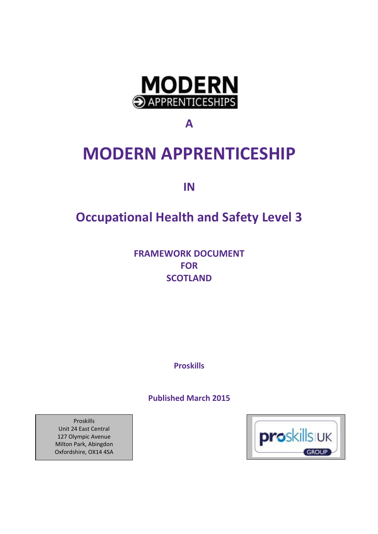

**A**

# **MODERN APPRENTICESHIP**

**IN**

# **Occupational Health and Safety Level 3**

**FRAMEWORK DOCUMENT FOR SCOTLAND**

**Proskills** 

**Published March 2015** 



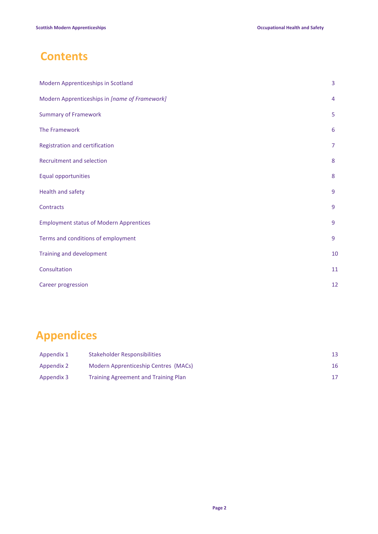# **Contents**

| Modern Apprenticeships in Scotland             | 3                |
|------------------------------------------------|------------------|
| Modern Apprenticeships in [name of Framework]  | 4                |
| <b>Summary of Framework</b>                    | 5                |
| The Framework                                  | 6                |
| Registration and certification                 | $\overline{7}$   |
| Recruitment and selection                      | 8                |
| <b>Equal opportunities</b>                     | $\boldsymbol{8}$ |
| Health and safety                              | 9                |
| Contracts                                      | 9                |
| <b>Employment status of Modern Apprentices</b> | 9                |
| Terms and conditions of employment             | 9                |
| Training and development                       | 10               |
| Consultation                                   | 11               |
| Career progression                             | 12               |

# **Appendices**

| Appendix 1 | Stakeholder Responsibilities                |    |
|------------|---------------------------------------------|----|
| Appendix 2 | Modern Apprenticeship Centres (MACs)        | 16 |
| Appendix 3 | <b>Training Agreement and Training Plan</b> |    |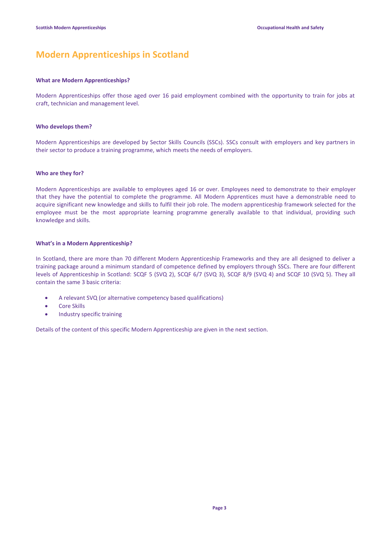# **Modern Apprenticeships in Scotland**

### **What are Modern Apprenticeships?**

Modern Apprenticeships offer those aged over 16 paid employment combined with the opportunity to train for jobs at craft, technician and management level.

### **Who develops them?**

Modern Apprenticeships are developed by Sector Skills Councils (SSCs). SSCs consult with employers and key partners in their sector to produce a training programme, which meets the needs of employers.

### **Who are they for?**

Modern Apprenticeships are available to employees aged 16 or over. Employees need to demonstrate to their employer that they have the potential to complete the programme. All Modern Apprentices must have a demonstrable need to acquire significant new knowledge and skills to fulfil their job role. The modern apprenticeship framework selected for the employee must be the most appropriate learning programme generally available to that individual, providing such knowledge and skills.

### **What's in a Modern Apprenticeship?**

In Scotland, there are more than 70 different Modern Apprenticeship Frameworks and they are all designed to deliver a training package around a minimum standard of competence defined by employers through SSCs. There are four different levels of Apprenticeship in Scotland: SCQF 5 (SVQ 2), SCQF 6/7 (SVQ 3), SCQF 8/9 (SVQ 4) and SCQF 10 (SVQ 5). They all contain the same 3 basic criteria:

- A relevant SVQ (or alternative competency based qualifications)
- Core Skills
- Industry specific training

Details of the content of this specific Modern Apprenticeship are given in the next section.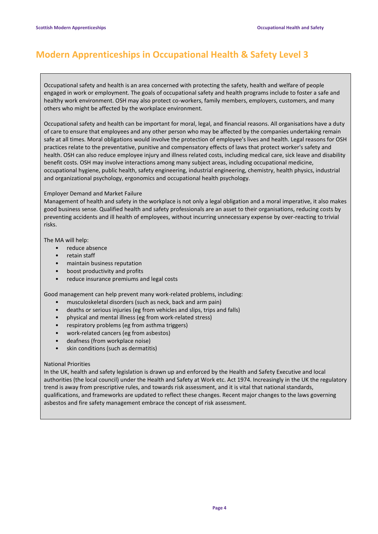# **Modern Apprenticeships in Occupational Health & Safety Level 3**

Occupational safety and health is an area concerned with protecting the safety, health and welfare of people engaged in work or employment. The goals of occupational safety and health programs include to foster a safe and healthy work environment. OSH may also protect co-workers, family members, employers, customers, and many others who might be affected by the workplace environment.

Occupational safety and health can be important for moral, legal, and financial reasons. All organisations have a duty of care to ensure that employees and any other person who may be affected by the companies undertaking remain safe at all times. Moral obligations would involve the protection of employee's lives and health. Legal reasons for OSH practices relate to the preventative, punitive and compensatory effects of laws that protect worker's safety and health. OSH can also reduce employee injury and illness related costs, including medical care, sick leave and disability benefit costs. OSH may involve interactions among many subject areas, including occupational medicine, occupational hygiene, public health, safety engineering, industrial engineering, chemistry, health physics, industrial and organizational psychology, ergonomics and occupational health psychology.

### Employer Demand and Market Failure

Management of health and safety in the workplace is not only a legal obligation and a moral imperative, it also makes good business sense. Qualified health and safety professionals are an asset to their organisations, reducing costs by preventing accidents and ill health of employees, without incurring unnecessary expense by over-reacting to trivial risks.

The MA will help:

- reduce absence
- retain staff
- maintain business reputation
- boost productivity and profits
- reduce insurance premiums and legal costs

Good management can help prevent many work-related problems, including:

- musculoskeletal disorders (such as neck, back and arm pain)
- deaths or serious injuries (eg from vehicles and slips, trips and falls)
- physical and mental illness (eg from work-related stress)
- respiratory problems (eg from asthma triggers)
- work-related cancers (eg from asbestos)
- deafness (from workplace noise)
- skin conditions (such as dermatitis)

### National Priorities

In the UK, health and safety legislation is drawn up and enforced by the Health and Safety Executive and local authorities (the local council) under the Health and Safety at Work etc. Act 1974. Increasingly in the UK the regulatory trend is away from prescriptive rules, and towards risk assessment, and it is vital that national standards, qualifications, and frameworks are updated to reflect these changes. Recent major changes to the laws governing asbestos and fire safety management embrace the concept of risk assessment.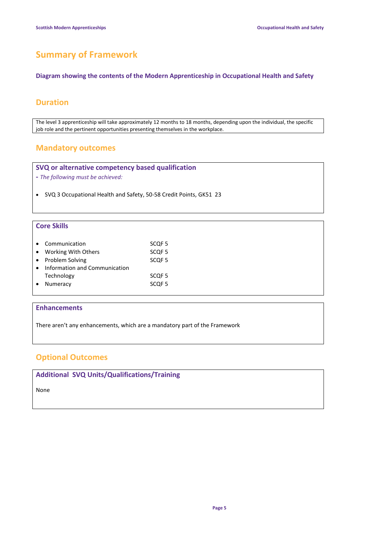# **Summary of Framework**

**Diagram showing the contents of the Modern Apprenticeship in Occupational Health and Safety** 

### **Duration**

The level 3 apprenticeship will take approximately 12 months to 18 months, depending upon the individual, the specific job role and the pertinent opportunities presenting themselves in the workplace.

### **Mandatory outcomes**

**SVQ or alternative competency based qualification** 

**-** *The following must be achieved:*

SVQ 3 Occupational Health and Safety, 50-58 Credit Points, GK51 23

### **Core Skills**

| Communication                 | SCQF <sub>5</sub> |
|-------------------------------|-------------------|
| Working With Others           | SCQF <sub>5</sub> |
| • Problem Solving             | SCQF <sub>5</sub> |
| Information and Communication |                   |
| Technology                    | SCOF <sub>5</sub> |
| Numeracy                      | SCOF <sub>5</sub> |
|                               |                   |

### **Enhancements**

There aren't any enhancements, which are a mandatory part of the Framework

### **Optional Outcomes**

**Additional SVQ Units/Qualifications/Training**

None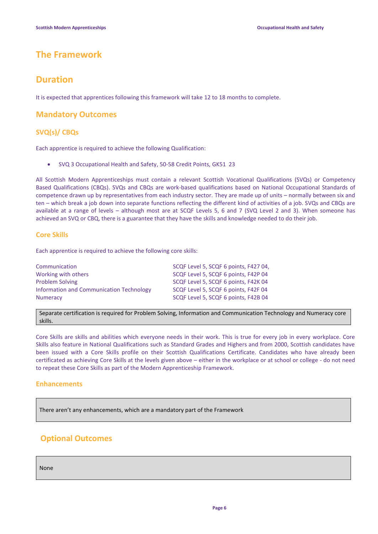### **The Framework**

### **Duration**

It is expected that apprentices following this framework will take 12 to 18 months to complete.

### **Mandatory Outcomes**

### **SVQ(s)/ CBQs**

Each apprentice is required to achieve the following Qualification:

SVQ 3 Occupational Health and Safety, 50-58 Credit Points, GK51 23

All Scottish Modern Apprenticeships must contain a relevant Scottish Vocational Qualifications (SVQs) or Competency Based Qualifications (CBQs). SVQs and CBQs are work-based qualifications based on National Occupational Standards of competence drawn up by representatives from each industry sector. They are made up of units – normally between six and ten – which break a job down into separate functions reflecting the different kind of activities of a job. SVQs and CBQs are available at a range of levels – although most are at SCQF Levels 5, 6 and 7 (SVQ Level 2 and 3). When someone has achieved an SVQ or CBQ, there is a guarantee that they have the skills and knowledge needed to do their job.

### **Core Skills**

Each apprentice is required to achieve the following core skills:

| Communication                            | SCQF Level 5, SCQF 6 points, F427 04, |
|------------------------------------------|---------------------------------------|
| Working with others                      | SCQF Level 5, SCQF 6 points, F42P 04  |
| <b>Problem Solving</b>                   | SCQF Level 5, SCQF 6 points, F42K 04  |
| Information and Communication Technology | SCQF Level 5, SCQF 6 points, F42F 04  |
| <b>Numeracy</b>                          | SCQF Level 5, SCQF 6 points, F42B 04  |

Separate certification is required for Problem Solving, Information and Communication Technology and Numeracy core skills.

Core Skills are skills and abilities which everyone needs in their work. This is true for every job in every workplace. Core Skills also feature in National Qualifications such as Standard Grades and Highers and from 2000, Scottish candidates have been issued with a Core Skills profile on their Scottish Qualifications Certificate. Candidates who have already been certificated as achieving Core Skills at the levels given above – either in the workplace or at school or college - do not need to repeat these Core Skills as part of the Modern Apprenticeship Framework.

### **Enhancements**

There aren't any enhancements, which are a mandatory part of the Framework

### **Optional Outcomes**

None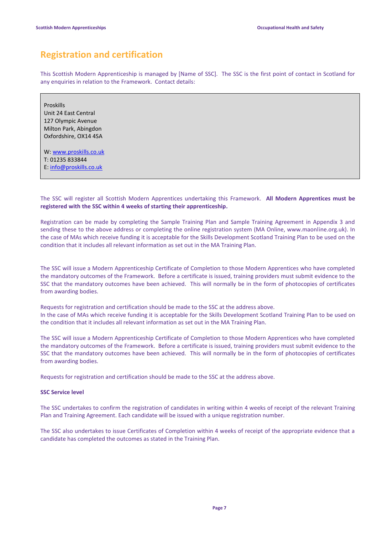# **Registration and certification**

This Scottish Modern Apprenticeship is managed by [Name of SSC]. The SSC is the first point of contact in Scotland for any enquiries in relation to the Framework. Contact details:

Proskills Unit 24 East Central 127 Olympic Avenue Milton Park, Abingdon Oxfordshire, OX14 4SA

W: [www.proskills.co.uk](http://www.proskills.co.uk/) T: 01235 833844

E: [info@proskills.co.uk](mailto:info@proskills.co.uk)

The SSC will register all Scottish Modern Apprentices undertaking this Framework. **All Modern Apprentices must be registered with the SSC within 4 weeks of starting their apprenticeship.**

Registration can be made by completing the Sample Training Plan and Sample Training Agreement in Appendix 3 and sending these to the above address or completing the online registration system (MA Online, www.maonline.org.uk). In the case of MAs which receive funding it is acceptable for the Skills Development Scotland Training Plan to be used on the condition that it includes all relevant information as set out in the MA Training Plan.

The SSC will issue a Modern Apprenticeship Certificate of Completion to those Modern Apprentices who have completed the mandatory outcomes of the Framework. Before a certificate is issued, training providers must submit evidence to the SSC that the mandatory outcomes have been achieved. This will normally be in the form of photocopies of certificates from awarding bodies.

Requests for registration and certification should be made to the SSC at the address above. In the case of MAs which receive funding it is acceptable for the Skills Development Scotland Training Plan to be used on the condition that it includes all relevant information as set out in the MA Training Plan.

The SSC will issue a Modern Apprenticeship Certificate of Completion to those Modern Apprentices who have completed the mandatory outcomes of the Framework. Before a certificate is issued, training providers must submit evidence to the SSC that the mandatory outcomes have been achieved. This will normally be in the form of photocopies of certificates from awarding bodies.

Requests for registration and certification should be made to the SSC at the address above.

### **SSC Service level**

The SSC undertakes to confirm the registration of candidates in writing within 4 weeks of receipt of the relevant Training Plan and Training Agreement. Each candidate will be issued with a unique registration number.

The SSC also undertakes to issue Certificates of Completion within 4 weeks of receipt of the appropriate evidence that a candidate has completed the outcomes as stated in the Training Plan.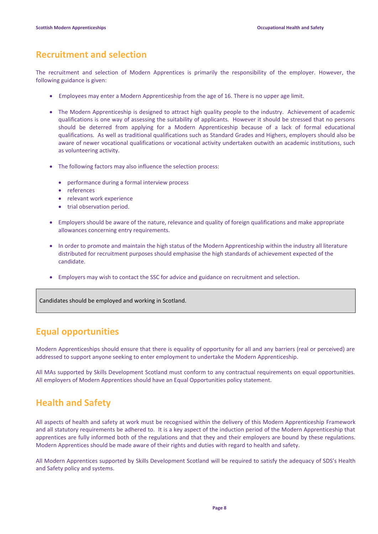## **Recruitment and selection**

The recruitment and selection of Modern Apprentices is primarily the responsibility of the employer. However, the following guidance is given:

- Employees may enter a Modern Apprenticeship from the age of 16. There is no upper age limit.
- The Modern Apprenticeship is designed to attract high quality people to the industry. Achievement of academic qualifications is one way of assessing the suitability of applicants. However it should be stressed that no persons should be deterred from applying for a Modern Apprenticeship because of a lack of formal educational qualifications. As well as traditional qualifications such as Standard Grades and Highers, employers should also be aware of newer vocational qualifications or vocational activity undertaken outwith an academic institutions, such as volunteering activity.
- The following factors may also influence the selection process:
	- performance during a formal interview process
	- references
	- relevant work experience
	- trial observation period.
- Employers should be aware of the nature, relevance and quality of foreign qualifications and make appropriate allowances concerning entry requirements.
- In order to promote and maintain the high status of the Modern Apprenticeship within the industry all literature distributed for recruitment purposes should emphasise the high standards of achievement expected of the candidate.
- Employers may wish to contact the SSC for advice and guidance on recruitment and selection.

Candidates should be employed and working in Scotland.

## **Equal opportunities**

Modern Apprenticeships should ensure that there is equality of opportunity for all and any barriers (real or perceived) are addressed to support anyone seeking to enter employment to undertake the Modern Apprenticeship.

All MAs supported by Skills Development Scotland must conform to any contractual requirements on equal opportunities. All employers of Modern Apprentices should have an Equal Opportunities policy statement.

## **Health and Safety**

All aspects of health and safety at work must be recognised within the delivery of this Modern Apprenticeship Framework and all statutory requirements be adhered to. It is a key aspect of the induction period of the Modern Apprenticeship that apprentices are fully informed both of the regulations and that they and their employers are bound by these regulations. Modern Apprentices should be made aware of their rights and duties with regard to health and safety.

All Modern Apprentices supported by Skills Development Scotland will be required to satisfy the adequacy of SDS's Health and Safety policy and systems.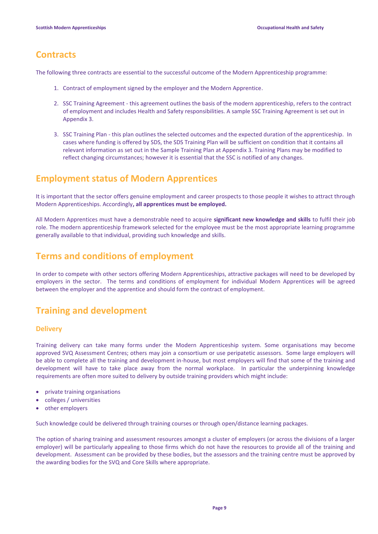## **Contracts**

The following three contracts are essential to the successful outcome of the Modern Apprenticeship programme:

- 1. Contract of employment signed by the employer and the Modern Apprentice.
- 2. SSC Training Agreement this agreement outlines the basis of the modern apprenticeship, refers to the contract of employment and includes Health and Safety responsibilities. A sample SSC Training Agreement is set out in Appendix 3.
- 3. SSC Training Plan this plan outlines the selected outcomes and the expected duration of the apprenticeship. In cases where funding is offered by SDS, the SDS Training Plan will be sufficient on condition that it contains all relevant information as set out in the Sample Training Plan at Appendix 3. Training Plans may be modified to reflect changing circumstances; however it is essential that the SSC is notified of any changes.

# **Employment status of Modern Apprentices**

It is important that the sector offers genuine employment and career prospects to those people it wishes to attract through Modern Apprenticeships. Accordingly**, all apprentices must be employed.**

All Modern Apprentices must have a demonstrable need to acquire **significant new knowledge and skills** to fulfil their job role. The modern apprenticeship framework selected for the employee must be the most appropriate learning programme generally available to that individual, providing such knowledge and skills.

## **Terms and conditions of employment**

In order to compete with other sectors offering Modern Apprenticeships, attractive packages will need to be developed by employers in the sector. The terms and conditions of employment for individual Modern Apprentices will be agreed between the employer and the apprentice and should form the contract of employment.

# **Training and development**

### **Delivery**

Training delivery can take many forms under the Modern Apprenticeship system. Some organisations may become approved SVQ Assessment Centres; others may join a consortium or use peripatetic assessors. Some large employers will be able to complete all the training and development in-house, but most employers will find that some of the training and development will have to take place away from the normal workplace. In particular the underpinning knowledge requirements are often more suited to delivery by outside training providers which might include:

- private training organisations
- colleges / universities
- other employers

Such knowledge could be delivered through training courses or through open/distance learning packages.

The option of sharing training and assessment resources amongst a cluster of employers (or across the divisions of a larger employer) will be particularly appealing to those firms which do not have the resources to provide all of the training and development. Assessment can be provided by these bodies, but the assessors and the training centre must be approved by the awarding bodies for the SVQ and Core Skills where appropriate.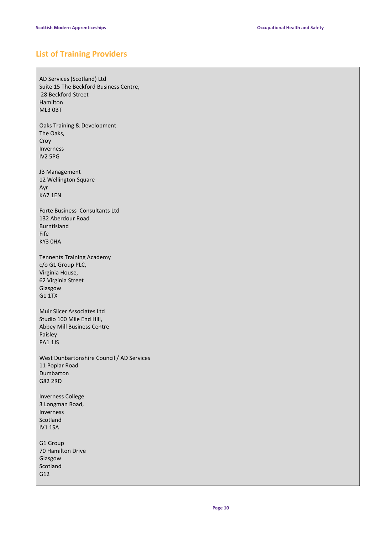### **List of Training Providers**

AD Services (Scotland) Ltd Suite 15 The Beckford Business Centre, 28 Beckford Street Hamilton ML3 0BT Oaks Training & Development The Oaks, Croy Inverness IV2 5PG JB Management 12 Wellington Square Ayr KA7 1EN Forte Business Consultants Ltd 132 Aberdour Road Burntisland Fife KY3 0HA Tennents Training Academy c/o G1 Group PLC, Virginia House, 62 Virginia Street Glasgow G1 1TX Muir Slicer Associates Ltd Studio 100 Mile End Hill, Abbey Mill Business Centre Paisley PA1 1JS West Dunbartonshire Council / AD Services 11 Poplar Road Dumbarton G82 2RD Inverness College 3 Longman Road, Inverness Scotland IV1 1SA G1 Group 70 Hamilton Drive Glasgow Scotland G12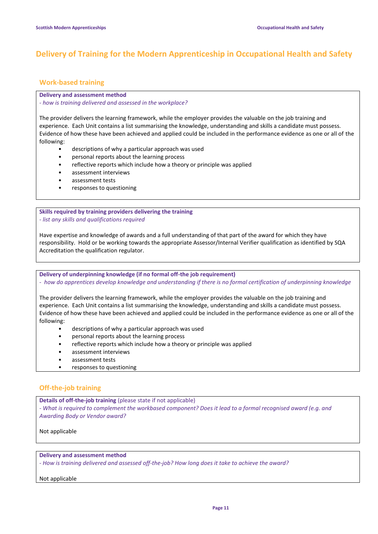### **Delivery of Training for the Modern Apprenticeship in Occupational Health and Safety**

### **Work-based training**

### **Delivery and assessment method**

*- how is training delivered and assessed in the workplace?*

The provider delivers the learning framework, while the employer provides the valuable on the job training and experience. Each Unit contains a list summarising the knowledge, understanding and skills a candidate must possess. Evidence of how these have been achieved and applied could be included in the performance evidence as one or all of the following:

- descriptions of why a particular approach was used
- personal reports about the learning process
- reflective reports which include how a theory or principle was applied
- assessment interviews
- assessment tests
- responses to questioning

**Skills required by training providers delivering the training** *- list any skills and qualifications required*

Have expertise and knowledge of awards and a full understanding of that part of the award for which they have responsibility. Hold or be working towards the appropriate Assessor/Internal Verifier qualification as identified by SQA Accreditation the qualification regulator.

**Delivery of underpinning knowledge (if no formal off-the job requirement)**

*- how do apprentices develop knowledge and understanding if there is no formal certification of underpinning knowledge*

The provider delivers the learning framework, while the employer provides the valuable on the job training and experience. Each Unit contains a list summarising the knowledge, understanding and skills a candidate must possess. Evidence of how these have been achieved and applied could be included in the performance evidence as one or all of the following:

- descriptions of why a particular approach was used
- personal reports about the learning process
- reflective reports which include how a theory or principle was applied
- assessment interviews
- assessment tests
- responses to questioning

### **Off-the-job training**

**Details of off-the-job training** (please state if not applicable)

*- What is required to complement the workbased component? Does it lead to a formal recognised award (e.g. and Awarding Body or Vendor award?*

Not applicable

**Delivery and assessment method**

*- How is training delivered and assessed off-the-job? How long does it take to achieve the award?*

### Not applicable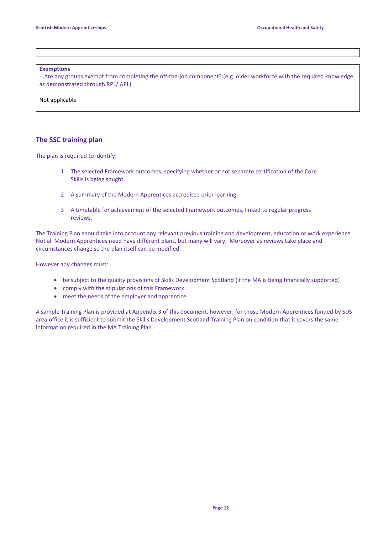#### **Exemptions**

*-* Are any groups exempt from completing the off-the-job component? (e.g. older workforce with the required knowledge as demonstrated through RPL/ APL)

Not applicable

### **The SSC training plan**

The plan is required to identify:

- 1 The selected Framework outcomes, specifying whether or not separate certification of the Core Skills is being sought.
- 2 A summary of the Modern Apprentices accredited prior learning
- 3 A timetable for achievement of the selected Framework outcomes, linked to regular progress reviews.

The Training Plan should take into account any relevant previous training and development, education or work experience. Not all Modern Apprentices need have different plans, but many will vary. Moreover as reviews take place and circumstances change so the plan itself can be modified.

However any changes must:

- be subject to the quality provisions of Skills Development Scotland (if the MA is being financially supported)
- comply with the stipulations of this Framework
- meet the needs of the employer and apprentice.

A sample Training Plan is provided at Appendix 3 of this document, however, for those Modern Apprentices funded by SDS area office it is sufficient to submit the Skills Development Scotland Training Plan on condition that it covers the same information required in the MA Training Plan.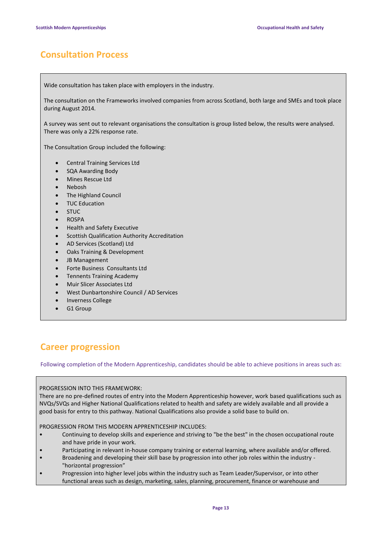# **Consultation Process**

Wide consultation has taken place with employers in the industry.

The consultation on the Frameworks involved companies from across Scotland, both large and SMEs and took place during August 2014.

A survey was sent out to relevant organisations the consultation is group listed below, the results were analysed. There was only a 22% response rate.

The Consultation Group included the following:

- Central Training Services Ltd
- SQA Awarding Body
- Mines Rescue Ltd
- Nebosh
- The Highland Council
- TUC Education
- STUC
- ROSPA
- Health and Safety Executive
- **•** Scottish Qualification Authority Accreditation
- AD Services (Scotland) Ltd
- Oaks Training & Development
- JB Management
- Forte Business Consultants Ltd
- **•** Tennents Training Academy
- Muir Slicer Associates Ltd
- West Dunbartonshire Council / AD Services
- Inverness College
- G1 Group

# **Career progression**

Following completion of the Modern Apprenticeship, candidates should be able to achieve positions in areas such as:

### PROGRESSION INTO THIS FRAMEWORK:

There are no pre-defined routes of entry into the Modern Apprenticeship however, work based qualifications such as NVQs/SVQs and Higher National Qualifications related to health and safety are widely available and all provide a good basis for entry to this pathway. National Qualifications also provide a solid base to build on.

PROGRESSION FROM THIS MODERN APPRENTICESHIP INCLUDES:

- Continuing to develop skills and experience and striving to "be the best" in the chosen occupational route and have pride in your work.
- Participating in relevant in-house company training or external learning, where available and/or offered.
- Broadening and developing their skill base by progression into other job roles within the industry "horizontal progression"
- Progression into higher level jobs within the industry such as Team Leader/Supervisor, or into other functional areas such as design, marketing, sales, planning, procurement, finance or warehouse and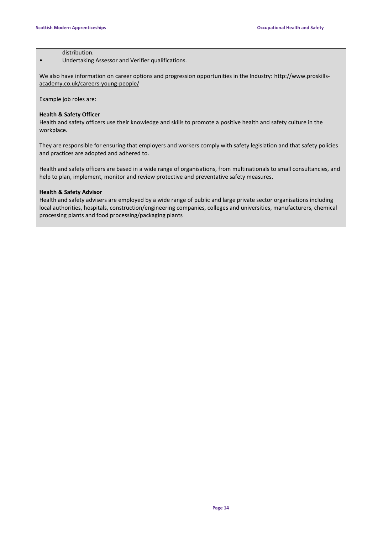### distribution.

• Undertaking Assessor and Verifier qualifications.

We also have information on career options and progression opportunities in the Industry: [http://www.proskills](http://www.proskills-academy.co.uk/careers-young-people/)[academy.co.uk/careers-young-people/](http://www.proskills-academy.co.uk/careers-young-people/)

Example job roles are:

### **Health & Safety Officer**

Health and safety officers use their knowledge and skills to promote a positive health and safety culture in the workplace.

They are responsible for ensuring that employers and workers comply with safety legislation and that safety policies and practices are adopted and adhered to.

Health and safety officers are based in a wide range of organisations, from multinationals to small consultancies, and help to plan, implement, monitor and review protective and preventative safety measures.

### **Health & Safety Advisor**

Health and safety advisers are employed by a wide range of public and large private sector organisations including local authorities, hospitals, construction/engineering companies, colleges and universities, manufacturers, chemical processing plants and food processing/packaging plants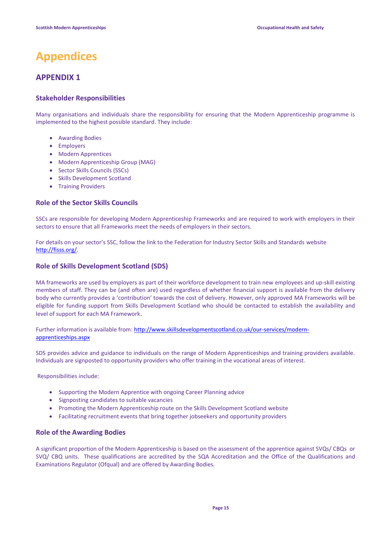# **Appendices**

### **APPENDIX 1**

### **Stakeholder Responsibilities**

Many organisations and individuals share the responsibility for ensuring that the Modern Apprenticeship programme is implemented to the highest possible standard. They include:

- Awarding Bodies
- Employers
- Modern Apprentices
- Modern Apprenticeship Group (MAG)
- Sector Skills Councils (SSCs)
- Skills Development Scotland
- Training Providers

### **Role of the Sector Skills Councils**

SSCs are responsible for developing Modern Apprenticeship Frameworks and are required to work with employers in their sectors to ensure that all Frameworks meet the needs of employers in their sectors.

For details on your sector's SSC, follow the link to the Federation for Industry Sector Skills and Standards website [http://fisss.org/.](http://fisss.org/)

### **Role of Skills Development Scotland (SDS)**

MA frameworks are used by employers as part of their workforce development to train new employees and up-skill existing members of staff. They can be (and often are) used regardless of whether financial support is available from the delivery body who currently provides a 'contribution' towards the cost of delivery. However, only approved MA Frameworks will be eligible for funding support from Skills Development Scotland who should be contacted to establish the availability and level of support for each MA Framework.

Further information is available from[: http://www.skillsdevelopmentscotland.co.uk/our-services/modern](http://www.skillsdevelopmentscotland.co.uk/our-services/modern-apprenticeships.aspx)[apprenticeships.aspx](http://www.skillsdevelopmentscotland.co.uk/our-services/modern-apprenticeships.aspx)

SDS provides advice and guidance to individuals on the range of Modern Apprenticeships and training providers available. Individuals are signposted to opportunity providers who offer training in the vocational areas of interest.

Responsibilities include:

- Supporting the Modern Apprentice with ongoing Career Planning advice
- Signposting candidates to suitable vacancies
- Promoting the Modern Apprenticeship route on the Skills Development Scotland website
- Facilitating recruitment events that bring together jobseekers and opportunity providers

### **Role of the Awarding Bodies**

A significant proportion of the Modern Apprenticeship is based on the assessment of the apprentice against SVQs/ CBQs or SVQ/ CBQ units. These qualifications are accredited by the SQA Accreditation and the Office of the Qualifications and Examinations Regulator (Ofqual) and are offered by Awarding Bodies.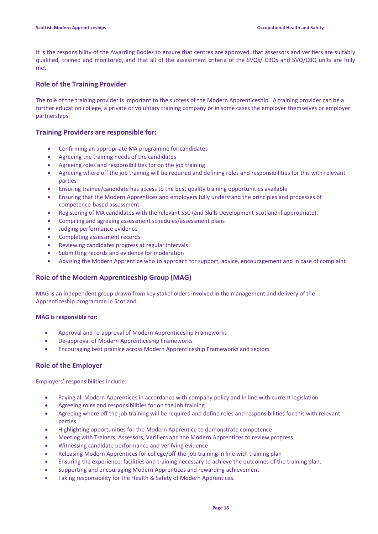It is the responsibility of the Awarding Bodies to ensure that centres are approved, that assessors and verifiers are suitably qualified, trained and monitored, and that all of the assessment criteria of the SVQs/ CBQs and SVQ/CBQ units are fully met.

### **Role of the Training Provider**

The role of the training provider is important to the success of the Modern Apprenticeship. A training provider can be a further education college, a private or voluntary training company or in some cases the employer themselves or employer partnerships.

### **Training Providers are responsible for:**

- Confirming an appropriate MA programme for candidates
- Agreeing the training needs of the candidates
- Agreeing roles and responsibilities for on the job training
- Agreeing where off the job training will be required and defining roles and responsibilities for this with relevant parties
- Ensuring trainee/candidate has access to the best quality training opportunities available
- Ensuring that the Modern Apprentices and employers fully understand the principles and processes of competence-based assessment
- Registering of MA candidates with the relevant SSC (and Skills Development Scotland if appropriate).
- Compiling and agreeing assessment schedules/assessment plans
- Judging performance evidence
- Completing assessment records
- Reviewing candidates progress at regular intervals
- Submitting records and evidence for moderation
- Advising the Modern Apprentice who to approach for support, advice, encouragement and in case of complaint

### **Role of the Modern Apprenticeship Group (MAG)**

MAG is an independent group drawn from key stakeholders involved in the management and delivery of the Apprenticeship programme in Scotland.

### **MAG is responsible for:**

- Approval and re-approval of Modern Apprenticeship Frameworks
- De-approval of Modern Apprenticeship Frameworks
- Encouraging best practice across Modern Apprenticeship Frameworks and sectors

### **Role of the Employer**

Employers' responsibilities include:

- Paying all Modern Apprentices in accordance with company policy and in line with current legislation
- Agreeing roles and responsibilities for on the job training
- Agreeing where off the job training will be required and define roles and responsibilities for this with relevant parties
- Highlighting opportunities for the Modern Apprentice to demonstrate competence
- Meeting with Trainers, Assessors, Verifiers and the Modern Apprentices to review progress
- Witnessing candidate performance and verifying evidence
- Releasing Modern Apprentices for college/off-the-job training in line with training plan
- Ensuring the experience, facilities and training necessary to achieve the outcomes of the training plan.
- Supporting and encouraging Modern Apprentices and rewarding achievement
- Taking responsibility for the Health & Safety of Modern Apprentices.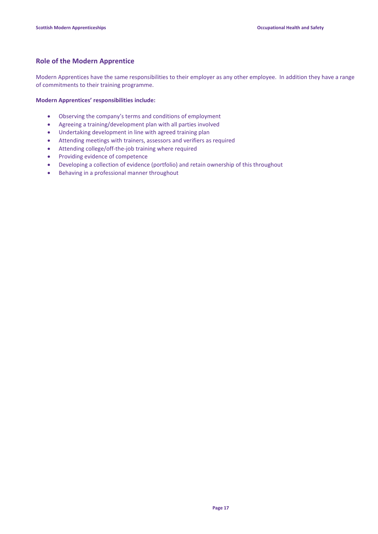### **Role of the Modern Apprentice**

Modern Apprentices have the same responsibilities to their employer as any other employee. In addition they have a range of commitments to their training programme.

### **Modern Apprentices' responsibilities include:**

- Observing the company's terms and conditions of employment
- Agreeing a training/development plan with all parties involved
- Undertaking development in line with agreed training plan
- Attending meetings with trainers, assessors and verifiers as required
- Attending college/off-the-job training where required
- Providing evidence of competence
- Developing a collection of evidence (portfolio) and retain ownership of this throughout
- Behaving in a professional manner throughout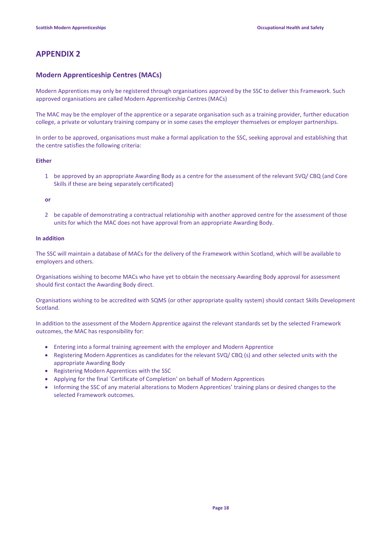### **APPENDIX 2**

### **Modern Apprenticeship Centres (MACs)**

Modern Apprentices may only be registered through organisations approved by the SSC to deliver this Framework. Such approved organisations are called Modern Apprenticeship Centres (MACs)

The MAC may be the employer of the apprentice or a separate organisation such as a training provider, further education college, a private or voluntary training company or in some cases the employer themselves or employer partnerships.

In order to be approved, organisations must make a formal application to the SSC, seeking approval and establishing that the centre satisfies the following criteria:

### **Either**

1 be approved by an appropriate Awarding Body as a centre for the assessment of the relevant SVQ/ CBQ (and Core Skills if these are being separately certificated)

#### **or**

2 be capable of demonstrating a contractual relationship with another approved centre for the assessment of those units for which the MAC does not have approval from an appropriate Awarding Body.

#### **In addition**

The SSC will maintain a database of MACs for the delivery of the Framework within Scotland, which will be available to employers and others.

Organisations wishing to become MACs who have yet to obtain the necessary Awarding Body approval for assessment should first contact the Awarding Body direct.

Organisations wishing to be accredited with SQMS (or other appropriate quality system) should contact Skills Development Scotland.

In addition to the assessment of the Modern Apprentice against the relevant standards set by the selected Framework outcomes, the MAC has responsibility for:

- Entering into a formal training agreement with the employer and Modern Apprentice
- Registering Modern Apprentices as candidates for the relevant SVQ/ CBQ (s) and other selected units with the appropriate Awarding Body
- Registering Modern Apprentices with the SSC
- Applying for the final `Certificate of Completion' on behalf of Modern Apprentices
- Informing the SSC of any material alterations to Modern Apprentices' training plans or desired changes to the selected Framework outcomes.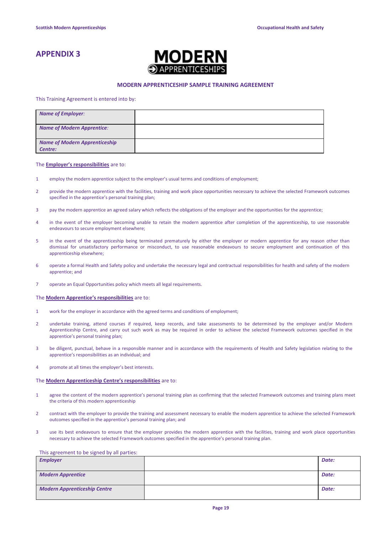### **APPENDIX 3**



#### **MODERN APPRENTICESHIP SAMPLE TRAINING AGREEMENT**

This Training Agreement is entered into by:

| <b>Name of Employer:</b>                        |  |
|-------------------------------------------------|--|
| Name of Modern Apprentice:                      |  |
| <b>Name of Modern Apprenticeship</b><br>Centre: |  |

#### The **Employer's responsibilities** are to:

- 1 employ the modern apprentice subject to the employer's usual terms and conditions of employment;
- 2 provide the modern apprentice with the facilities, training and work place opportunities necessary to achieve the selected Framework outcomes specified in the apprentice's personal training plan;
- 3 pay the modern apprentice an agreed salary which reflects the obligations of the employer and the opportunities for the apprentice;
- 4 in the event of the employer becoming unable to retain the modern apprentice after completion of the apprenticeship, to use reasonable endeavours to secure employment elsewhere;
- 5 in the event of the apprenticeship being terminated prematurely by either the employer or modern apprentice for any reason other than dismissal for unsatisfactory performance or misconduct, to use reasonable endeavours to secure employment and continuation of this apprenticeship elsewhere;
- 6 operate a formal Health and Safety policy and undertake the necessary legal and contractual responsibilities for health and safety of the modern apprentice; and
- 7 operate an Equal Opportunities policy which meets all legal requirements.

#### The **Modern Apprentice's responsibilities** are to:

- 1 work for the employer in accordance with the agreed terms and conditions of employment;
- 2 undertake training, attend courses if required, keep records, and take assessments to be determined by the employer and/or Modern Apprenticeship Centre, and carry out such work as may be required in order to achieve the selected Framework outcomes specified in the apprentice's personal training plan;
- 3 be diligent, punctual, behave in a responsible manner and in accordance with the requirements of Health and Safety legislation relating to the apprentice's responsibilities as an individual; and
- 4 promote at all times the employer's best interests.

#### The **Modern Apprenticeship Centre's responsibilities** are to:

- 1 agree the content of the modern apprentice's personal training plan as confirming that the selected Framework outcomes and training plans meet the criteria of this modern apprenticeship
- 2 contract with the employer to provide the training and assessment necessary to enable the modern apprentice to achieve the selected Framework outcomes specified in the apprentice's personal training plan; and
- 3 use its best endeavours to ensure that the employer provides the modern apprentice with the facilities, training and work place opportunities necessary to achieve the selected Framework outcomes specified in the apprentice's personal training plan.

#### This agreement to be signed by all parties:

| <b>Employer</b>                     | Date: |
|-------------------------------------|-------|
| <b>Modern Apprentice</b>            | Date: |
| <b>Modern Apprenticeship Centre</b> | Date: |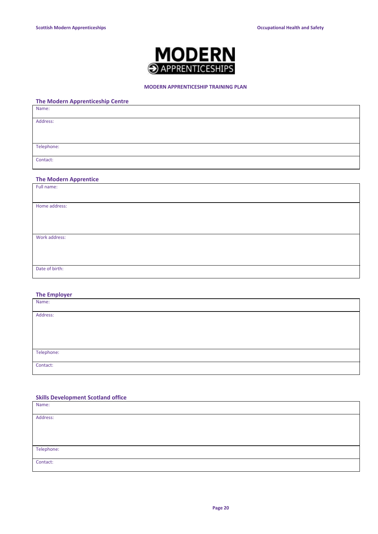

### **MODERN APPRENTICESHIP TRAINING PLAN**

### **The Modern Apprenticeship Centre**

| Name:      |  |  |  |
|------------|--|--|--|
| Address:   |  |  |  |
|            |  |  |  |
| Telephone: |  |  |  |
| Contact:   |  |  |  |

### **The Modern Apprentice**

| Full name:     |  |
|----------------|--|
|                |  |
|                |  |
| Home address:  |  |
|                |  |
|                |  |
|                |  |
|                |  |
|                |  |
| Work address:  |  |
|                |  |
|                |  |
|                |  |
|                |  |
| Date of birth: |  |
|                |  |
|                |  |

### **The Employer**

| Name:      |  |
|------------|--|
|            |  |
| Address:   |  |
|            |  |
|            |  |
|            |  |
|            |  |
|            |  |
|            |  |
| Telephone: |  |
|            |  |
| Contact:   |  |
|            |  |

### **Skills Development Scotland office**

| Name:      |  |
|------------|--|
| Address:   |  |
|            |  |
|            |  |
| Telephone: |  |
| Contact:   |  |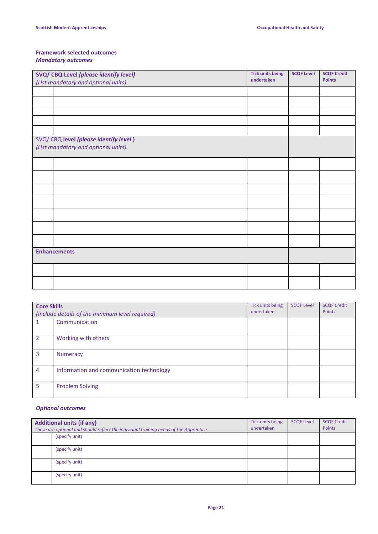### **Framework selected outcomes** *Mandatory outcomes*

| SVQ/ CBQ Level (please identify level)                                        | <b>Tick units being</b><br>undertaken | <b>SCQF Level</b> | <b>SCQF Credit</b> |
|-------------------------------------------------------------------------------|---------------------------------------|-------------------|--------------------|
| (List mandatory and optional units)                                           |                                       |                   | <b>Points</b>      |
|                                                                               |                                       |                   |                    |
|                                                                               |                                       |                   |                    |
|                                                                               |                                       |                   |                    |
|                                                                               |                                       |                   |                    |
|                                                                               |                                       |                   |                    |
| SVQ/ CBQ level (please identify level)<br>(List mandatory and optional units) |                                       |                   |                    |
|                                                                               |                                       |                   |                    |
|                                                                               |                                       |                   |                    |
|                                                                               |                                       |                   |                    |
|                                                                               |                                       |                   |                    |
|                                                                               |                                       |                   |                    |
|                                                                               |                                       |                   |                    |
|                                                                               |                                       |                   |                    |
| <b>Enhancements</b>                                                           |                                       |                   |                    |
|                                                                               |                                       |                   |                    |
|                                                                               |                                       |                   |                    |

| <b>Core Skills</b><br>(Include details of the minimum level required) |                                          | Tick units being<br>undertaken | <b>SCQF Level</b> | <b>SCQF Credit</b><br>Points |
|-----------------------------------------------------------------------|------------------------------------------|--------------------------------|-------------------|------------------------------|
|                                                                       | Communication                            |                                |                   |                              |
| $\mathcal{P}$                                                         | Working with others                      |                                |                   |                              |
| 3                                                                     | <b>Numeracy</b>                          |                                |                   |                              |
| 4                                                                     | Information and communication technology |                                |                   |                              |
| 5                                                                     | <b>Problem Solving</b>                   |                                |                   |                              |

### *Optional outcomes*

| <b>Additional units (if any)</b><br>These are optional and should reflect the individual training needs of the Apprentice | Tick units being<br>undertaken | <b>SCQF Level</b> | <b>SCQF Credit</b><br>Points |
|---------------------------------------------------------------------------------------------------------------------------|--------------------------------|-------------------|------------------------------|
| (specify unit)                                                                                                            |                                |                   |                              |
| (specify unit)                                                                                                            |                                |                   |                              |
| (specify unit)                                                                                                            |                                |                   |                              |
| (specify unit)                                                                                                            |                                |                   |                              |